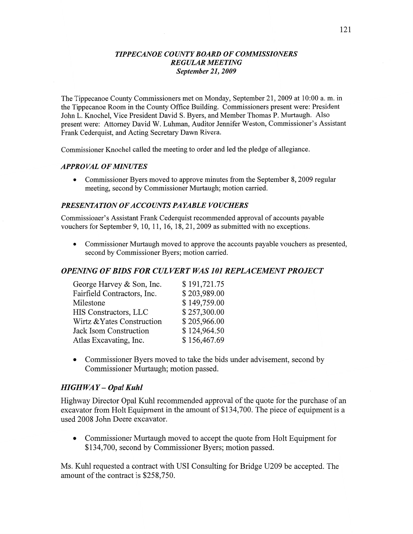#### *TIPPECANOE COUNTY BOARD* OF *COMMISSIONERS REGULAR MEETING September* 21, *2009*

The Tippecanoe County Commissioners met on Monday, September 21, 2009 at 10:00 a. m. in the Tippecanoe Room in the County Office Building. Commissioners present were: President John L. Knochel, Vice President David S. Byers, and Member Thomas P. Murtaugh. Also present were: Attorney David W. Luhman, Auditor Jennifer Weston, Commissioner's Assistant Frank Cederquist, and Acting Secretary Dawn Rivera.

Commissioner Knochel called the meeting to order and led the pledge of allegiance.

#### *APPROVAL* OF *MINUTES*

• Commissioner Byers moved to approve minutes from the September 8, 2009 regular meeting, second by Commissioner Murtaugh; motion carried.

#### *PRESENTATION* OF *ACCOUNT S* PA *YABLE VOUCHERS*

Commissioner's Assistant Frank Cederquist recommended approval of accounts payable vouchers for September 9, 10, 11, 16, 18, 21, 2009 as submitted with no exceptions.

**0** Commissioner Murtaugh moved to approve the accounts payable vouchers as presented, second by Commissioner Byers; motion carried.

### *OPENING* OF *BIDS* FOR CUL *VERT* WAS 10] *REPLA CEIWENT PROJECT*

| George Harvey & Son, Inc.   | \$191,721.75 |
|-----------------------------|--------------|
| Fairfield Contractors, Inc. | \$203,989.00 |
| Milestone                   | \$149,759.00 |
| HIS Constructors, LLC       | \$257,300.00 |
| Wirtz & Yates Construction  | \$205,966.00 |
| Jack Isom Construction      | \$124,964.50 |
| Atlas Excavating, Inc.      | \$156,467.69 |

**0** Commissioner Byers moved to take the bids under advisement, second by Commissioner Murtaugh; motion passed.

### *HIGH* WAY **—** *Opal Kuhl*

Highway Director Opal **Kuhl** recommended approval of the quote for the purchase of an excavator from Holt Equipment in the amount of \$134,700. The piece of equipment is a used 2008 John Deere excavator.

*0* Commissioner Murtaugh moved to accept the quote from Holt Equipment for \$134,700, second by Commissioner Byers; motion passed.

Ms. Kuhl requested a contract with USI Consulting for Bridge U209 be accepted. The amount of the contract is \$258,750.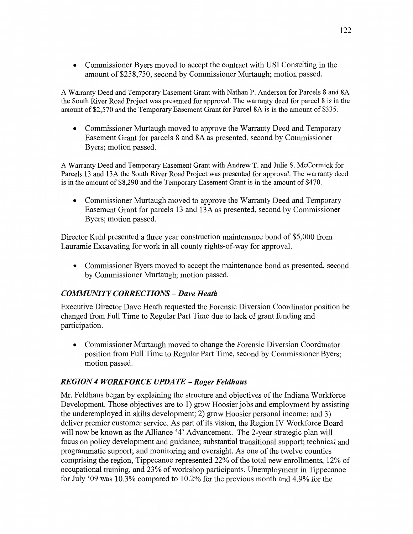**0** Commissioner Byers moved to accept the contract with USI Consulting in the **amount** of \$258,750, second by Commissioner Murtaugh; motion passed.

A Warranty Deed and Temporary Easement Grant with Nathan P. Anderson for Parcels 8 and 8A the South River **Road** Project was presented for approval. The warranty deed for parcel **8** is in the **amount** of \$2,570 and the Temporary Easement Grant for Parcel 8A is in the amount of \$335.

**0** Commissioner Murtaugh moved to approve the Warranty Deed and Temporary Easement Grant for parcels 8 and 8A as presented, second by Commissioner Byers; motion passed.

**A** Warranty Deed and Temporary **Easement** Grant **wifl1** Andrew T. and Julie S. McCormick for Parcels 13 and 13A the South River Road Project was presented for **approval.** The warranty deed is in the amount of \$8,290 and the Temporary Easement Grant is in the amount of \$470.

**0** Commissioner Murtaugh moved to approve the Warranty Deed and Temporary Easement Grant for parcels 13 and 13A as presented, second by Commissioner Byers; motion passed.

Director Kuhl presented a three year construction **maintenance** bond of \$5,000 from Lauramie Excavating for work in all county fights-of-way for approval.

**0** Commissioner Byers moved to accept the maintenance bond as presented, second by Commissioner Murtaugh; motion passed. '

# $COMMUNITY CORRECTIONS - Dave Heath$

Executive Director Dave Heath requested the Forensic Diversion Coordinator position be changed from **Full Time** to Regular Part Time due to lack of grant funding and participation.

**0** Commissioner Murtaugh moved to change the Forensic Diversion Coordinator position from Full Time to Regular Part Time, second by Commissioner Byers; **motion** passed.

# *REGION 4 WORKFORCE UPDATE* **—** *Roger Feldhaus*

Mr. Feldhaus began by explaining the structure and objectives of the Indiana Workforce Development. Those objectives are to I) grow Hoosier jobs and employment by assisting the underemployed in skills development; 2) grow Hoosier personal income; and 3) deliver premier customer service. As part of its vision, the Region IV Workforce Board will now be known as the Alliance '4' Advancement. The 2-year strategic plan will focus on policy development and guidance; substantial transitional support; technical and programmatic support; and monitoring and oversight. As one of the twelve counties comprising the region, Tippecanoe represented 22% of the total new enrollments, 12% of occupational training, and 23% of workshop participants. Unemployment in Tippecanoe for July '09 was 10.3% compared to 10.2% for the previous month and 4.9% for the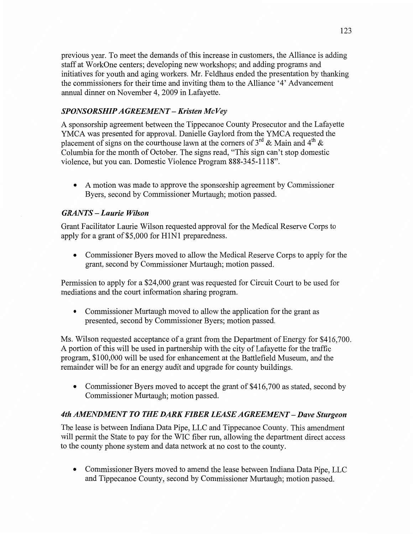previous year. To meet the demands of this increase in customers, the Alliance is adding staff at WorkOne centers; developing new workshops; and adding programs and initiatives for youth and aging workers. Mr. Feldhaus ended the presentation by thanking the commissioners for their time and inviting them to the Alliance '4' **Advancement**  annual dinner on November 4, 2009 in Lafayette.

# *SPONSORSHIP A GREEMEN T* — *Kristen* Mc Vey

**A** sponsorship agreement between the Tippecanoe County Prosecutor and the Lafayette YMCA was presented for approval. Danielle Gaylord from the YMCA requested the placement of signs on the courthouse lawn at the corners of  $3^{rd}$  & Main and  $4^{th}$  & Columbia for the month of October. The signs read, "This sign **can't** stop domestic violence, but you can. Domestic Violence Program 888-345-1118".

*0* **A** motion was made to approve the sponsorship agreement by Commissioner Byers, second by Commissioner Murtaugh; **motion** passed.

# *GRANTS — Laurie Wilson*

Grant Facilitator Laurie Wilson requested approval for the Medical Reserve Corps to apply for **<sup>a</sup>**grant of \$5,000 for HlNl preparedness.

**0** Commissioner Byers moved to allow the Medical Reserve Corps to apply for the grant, second by Commissioner Murtaugh; **motion** passed.

Permission to apply for a \$24,000 grant was requested for Circuit Court to be used for mediations and the court information sharing program.

**0** Commissioner Murtaugh moved to allow the application for the grant as presented, second by Commissioner Byers; motion passed.

Ms. Wilson requested acceptance of a grant from the Department of Energy for \$416,700. **A** portion of this Will be used in partnership with the city of Lafayette for the traffic program, \$100,000 will be used for enhancement at the Battlefield Museum, and the remainder will be for an energy audit and upgrade for county buildings.

• Commissioner Byers moved to accept the grant of \$416,700 as stated, second by Commissioner Murtaugh; **motion** passed.

# 4th *AMENDMENT T 0* THE *DARK FIBER LEASE AGREEMENT* — *Dave Sturgeon*

The lease is between Indiana Data Pipe, LLC and Tippecanoe County. **This** amendment will permit the State to pay for the WIC fiber run, allowing the department direct access to the county phone system and data network at no cost to the county.

**0** Commissioner Byers moved to amend the lease between **Indiana** Data Pipe, LLC and Tippecanoe County, second by Commissioner Murtaugh; motion passed.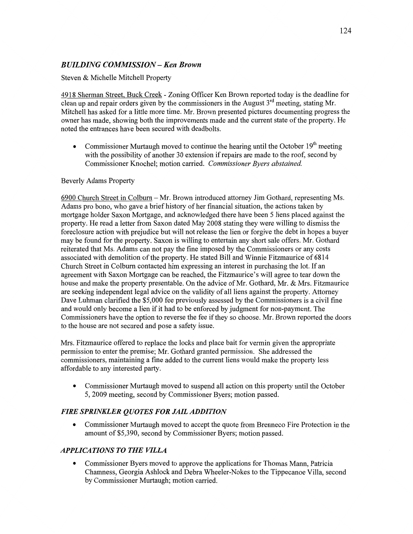# *BUILDING COMMSSION* **—** Ken *Brown*

### Steven & Michelle Mitchell Property

4918 Sherman Street, **Buck** Creek *-* Zoning Officer Ken Brown reported today is the deadline for clean up and repair orders given by the commissioners in the August  $3<sup>rd</sup>$  meeting, stating Mr. Mitchell has asked for a little more time. Mr. Brown presented pictures documenting progress the owner has made, showing both the improvements made and the current state of the property. He noted the entrances have been secured with deadbolts.

• Commissioner Murtaugh moved to continue the hearing until the October 19<sup>th</sup> meeting with the possibility of another 30 extension if repairs are made to the roof, second by Commissioner Knochel; motion carried. *Commissioner Byers abstained.* 

### Beverly **Adams** Property

6900 Church Street in Colbum **—** Mr. Brown introduced **attorney** Jim Gothard, representing Ms. Adams pro bono, who gave **a** brief history of her financial situation, the actions taken by mortgage holder Saxon Mortgage, and acknowledged there have been 5 liens placed against the property. He read a letter from Saxon dated May 2008 stating they were willing to dismiss the foreclosure action with prejudice but will not release the lien or forgive the debt in hopes a buyer may be found for the property. **Saxon** is willing to entertain any short sale offers. Mr. Gothard reiterated that Ms. Adams can not pay the fine imposed by the Commissioners or any costs associated with demolition of the property. He stated Bill and Winnie Fitzmaurice of 6814 Church Street in Colbum contacted him expressing an interest in purchasing the lot. If an agreement with Saxon Mortgage can be reached, the Fitzmaurice's will agree to tear down the house and make the property presentable. On the advice of Mr. Gothard, Mr. & Mrs. Fitzmaurice are seeking independent legal advice on the validity of all liens against the property. Attorney Dave Luhman clarified the \$5,000 fee previously assessed by the Commissioners is a civil fine and would only become a lien if it had to be enforced by judgment for non-payment. The Commissioners have the option to reverse the fee if they so choose. Mr. Brown reported the doors to the house are not secured and pose a safety issue.

Mrs. Fitzmaurice offered to replace the locks and place bait for vermin given the appropriate permission to enter the premise; Mr. Gothard granted permission. She addressed the commissioners, maintaining a fine added to the current liens would make the property less affordable to any interested party.

• Commissioner Murtaugh moved to suspend all action on this property until the October 5, 2009 meeting, second by Commissioner Byers; **motion** passed.

# *FIRE SPRINKLER QUOTES* FOR *JAIL ADDITION*

**0** Commissioner Murtaugh moved to accept the quote from Brenneco Fire Protection in the amount of \$5,390, second by Commissioner Byers; motion passed.

# *APPLICATIONS* TO THE *VILLA*

**0** Commissioner Byers moved to approve the applications for Thomas Mann, Patricia Chamness, Georgia Ashlock and Debra Wheeler-Nokes to the Tippecanoe Villa, second by Commissioner Murtaugh; motion carried.